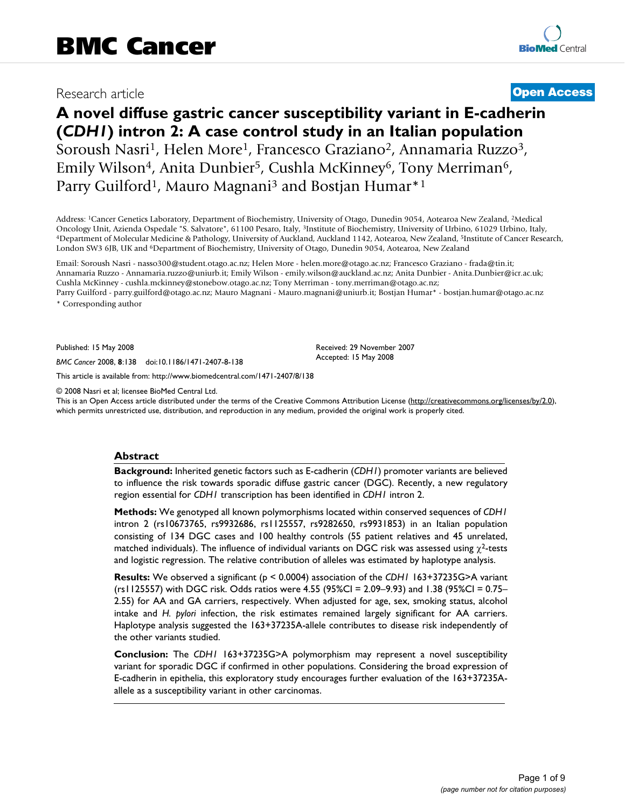## Research article **[Open Access](http://www.biomedcentral.com/info/about/charter/)**

# **A novel diffuse gastric cancer susceptibility variant in E-cadherin (***CDH1***) intron 2: A case control study in an Italian population** Soroush Nasri<sup>1</sup>, Helen More<sup>1</sup>, Francesco Graziano<sup>2</sup>, Annamaria Ruzzo<sup>3</sup>, Emily Wilson<sup>4</sup>, Anita Dunbier<sup>5</sup>, Cushla McKinney<sup>6</sup>, Tony Merriman<sup>6</sup>, Parry Guilford<sup>1</sup>, Mauro Magnani<sup>3</sup> and Bostjan Humar<sup>\*1</sup>

Address: 1Cancer Genetics Laboratory, Department of Biochemistry, University of Otago, Dunedin 9054, Aotearoa New Zealand, 2Medical Oncology Unit, Azienda Ospedale "S. Salvatore", 61100 Pesaro, Italy, <sup>3</sup>Institute of Biochemistry, University of Urbino, 61029 Urbino, Italy, 4Department of Molecular Medicine & Pathology, University of Auckland, Auckland London SW3 6JB, UK and 6Department of Biochemistry, University of Otago, Dunedin 9054, Aotearoa, New Zealand

Email: Soroush Nasri - nasso300@student.otago.ac.nz; Helen More - helen.more@otago.ac.nz; Francesco Graziano - frada@tin.it; Annamaria Ruzzo - Annamaria.ruzzo@uniurb.it; Emily Wilson - emily.wilson@auckland.ac.nz; Anita Dunbier - Anita.Dunbier@icr.ac.uk; Cushla McKinney - cushla.mckinney@stonebow.otago.ac.nz; Tony Merriman - tony.merriman@otago.ac.nz; Parry Guilford - parry.guilford@otago.ac.nz; Mauro Magnani - Mauro.magnani@uniurb.it; Bostjan Humar\* - bostjan.humar@otago.ac.nz

\* Corresponding author

Published: 15 May 2008

*BMC Cancer* 2008, **8**:138 doi:10.1186/1471-2407-8-138

[This article is available from: http://www.biomedcentral.com/1471-2407/8/138](http://www.biomedcentral.com/1471-2407/8/138)

© 2008 Nasri et al; licensee BioMed Central Ltd.

This is an Open Access article distributed under the terms of the Creative Commons Attribution License [\(http://creativecommons.org/licenses/by/2.0\)](http://creativecommons.org/licenses/by/2.0), which permits unrestricted use, distribution, and reproduction in any medium, provided the original work is properly cited.

Received: 29 November 2007 Accepted: 15 May 2008

#### **Abstract**

**Background:** Inherited genetic factors such as E-cadherin (*CDH1*) promoter variants are believed to influence the risk towards sporadic diffuse gastric cancer (DGC). Recently, a new regulatory region essential for *CDH1* transcription has been identified in *CDH1* intron 2.

**Methods:** We genotyped all known polymorphisms located within conserved sequences of *CDH1* intron 2 (rs10673765, rs9932686, rs1125557, rs9282650, rs9931853) in an Italian population consisting of 134 DGC cases and 100 healthy controls (55 patient relatives and 45 unrelated, matched individuals). The influence of individual variants on DGC risk was assessed using  $\chi^2$ -tests and logistic regression. The relative contribution of alleles was estimated by haplotype analysis.

**Results:** We observed a significant (p < 0.0004) association of the *CDH1* 163+37235G>A variant (rs1125557) with DGC risk. Odds ratios were 4.55 (95%CI = 2.09–9.93) and 1.38 (95%CI = 0.75– 2.55) for AA and GA carriers, respectively. When adjusted for age, sex, smoking status, alcohol intake and *H. pylori* infection, the risk estimates remained largely significant for AA carriers. Haplotype analysis suggested the 163+37235A-allele contributes to disease risk independently of the other variants studied.

**Conclusion:** The *CDH1* 163+37235G>A polymorphism may represent a novel susceptibility variant for sporadic DGC if confirmed in other populations. Considering the broad expression of E-cadherin in epithelia, this exploratory study encourages further evaluation of the 163+37235Aallele as a susceptibility variant in other carcinomas.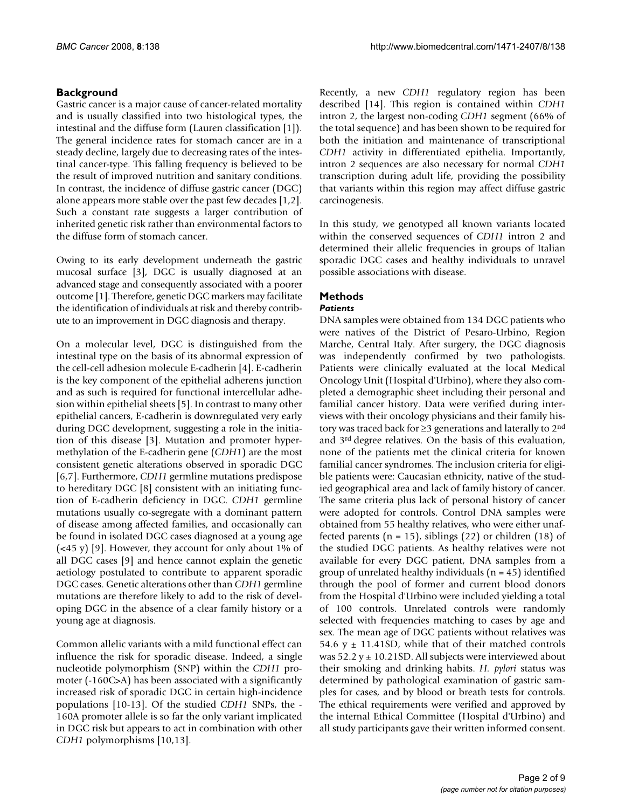#### **Background**

Gastric cancer is a major cause of cancer-related mortality and is usually classified into two histological types, the intestinal and the diffuse form (Lauren classification [1]). The general incidence rates for stomach cancer are in a steady decline, largely due to decreasing rates of the intestinal cancer-type. This falling frequency is believed to be the result of improved nutrition and sanitary conditions. In contrast, the incidence of diffuse gastric cancer (DGC) alone appears more stable over the past few decades [1,2]. Such a constant rate suggests a larger contribution of inherited genetic risk rather than environmental factors to the diffuse form of stomach cancer.

Owing to its early development underneath the gastric mucosal surface [3], DGC is usually diagnosed at an advanced stage and consequently associated with a poorer outcome [1]. Therefore, genetic DGC markers may facilitate the identification of individuals at risk and thereby contribute to an improvement in DGC diagnosis and therapy.

On a molecular level, DGC is distinguished from the intestinal type on the basis of its abnormal expression of the cell-cell adhesion molecule E-cadherin [4]. E-cadherin is the key component of the epithelial adherens junction and as such is required for functional intercellular adhesion within epithelial sheets [5]. In contrast to many other epithelial cancers, E-cadherin is downregulated very early during DGC development, suggesting a role in the initiation of this disease [3]. Mutation and promoter hypermethylation of the E-cadherin gene (*CDH1*) are the most consistent genetic alterations observed in sporadic DGC [6,7]. Furthermore, *CDH1* germline mutations predispose to hereditary DGC [8] consistent with an initiating function of E-cadherin deficiency in DGC. *CDH1* germline mutations usually co-segregate with a dominant pattern of disease among affected families, and occasionally can be found in isolated DGC cases diagnosed at a young age  $\left($  <45 y) [9]. However, they account for only about 1% of all DGC cases [9] and hence cannot explain the genetic aetiology postulated to contribute to apparent sporadic DGC cases. Genetic alterations other than *CDH1* germline mutations are therefore likely to add to the risk of developing DGC in the absence of a clear family history or a young age at diagnosis.

Common allelic variants with a mild functional effect can influence the risk for sporadic disease. Indeed, a single nucleotide polymorphism (SNP) within the *CDH1* promoter (-160C>A) has been associated with a significantly increased risk of sporadic DGC in certain high-incidence populations [10-13]. Of the studied *CDH1* SNPs, the - 160A promoter allele is so far the only variant implicated in DGC risk but appears to act in combination with other *CDH1* polymorphisms [10,13].

Recently, a new *CDH1* regulatory region has been described [14]. This region is contained within *CDH1* intron 2, the largest non-coding *CDH1* segment (66% of the total sequence) and has been shown to be required for both the initiation and maintenance of transcriptional *CDH1* activity in differentiated epithelia. Importantly, intron 2 sequences are also necessary for normal *CDH1* transcription during adult life, providing the possibility that variants within this region may affect diffuse gastric carcinogenesis.

In this study, we genotyped all known variants located within the conserved sequences of *CDH1* intron 2 and determined their allelic frequencies in groups of Italian sporadic DGC cases and healthy individuals to unravel possible associations with disease.

### **Methods**

#### *Patients*

DNA samples were obtained from 134 DGC patients who were natives of the District of Pesaro-Urbino, Region Marche, Central Italy. After surgery, the DGC diagnosis was independently confirmed by two pathologists. Patients were clinically evaluated at the local Medical Oncology Unit (Hospital d'Urbino), where they also completed a demographic sheet including their personal and familial cancer history. Data were verified during interviews with their oncology physicians and their family history was traced back for ≥3 generations and laterally to 2nd and 3rd degree relatives. On the basis of this evaluation, none of the patients met the clinical criteria for known familial cancer syndromes. The inclusion criteria for eligible patients were: Caucasian ethnicity, native of the studied geographical area and lack of family history of cancer. The same criteria plus lack of personal history of cancer were adopted for controls. Control DNA samples were obtained from 55 healthy relatives, who were either unaffected parents ( $n = 15$ ), siblings (22) or children (18) of the studied DGC patients. As healthy relatives were not available for every DGC patient, DNA samples from a group of unrelated healthy individuals  $(n = 45)$  identified through the pool of former and current blood donors from the Hospital d'Urbino were included yielding a total of 100 controls. Unrelated controls were randomly selected with frequencies matching to cases by age and sex. The mean age of DGC patients without relatives was 54.6 y  $\pm$  11.41SD, while that of their matched controls was  $52.2 y \pm 10.21$ SD. All subjects were interviewed about their smoking and drinking habits. *H. pylori* status was determined by pathological examination of gastric samples for cases, and by blood or breath tests for controls. The ethical requirements were verified and approved by the internal Ethical Committee (Hospital d'Urbino) and all study participants gave their written informed consent.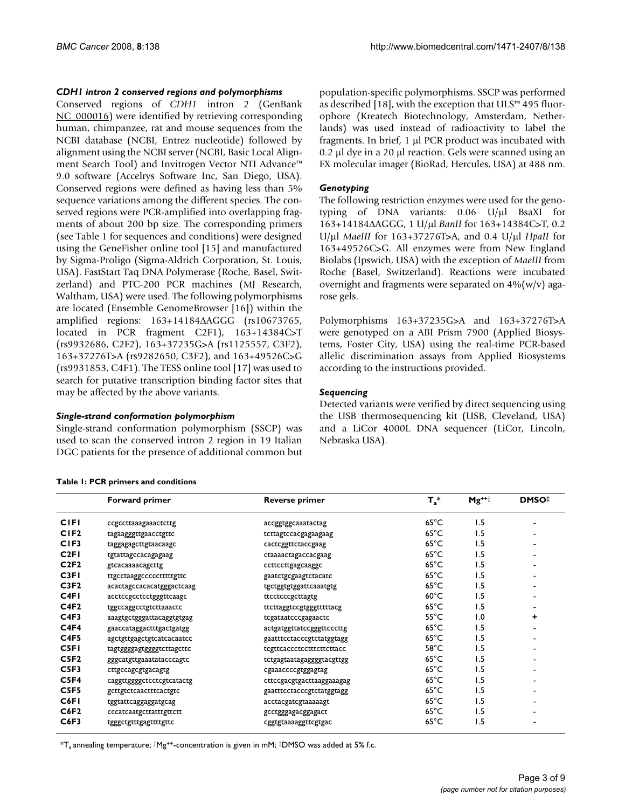#### *CDH1 intron 2 conserved regions and polymorphisms*

Conserved regions of *CDH1* intron 2 (GenBank [NC\\_000016\)](http://www.ncbi.nih.gov/entrez/query.fcgi?db=Nucleotide&cmd=search&term=NC_000016) were identified by retrieving corresponding human, chimpanzee, rat and mouse sequences from the NCBI database (NCBI, Entrez nucleotide) followed by alignment using the NCBI server (NCBI, Basic Local Alignment Search Tool) and Invitrogen Vector NTI Advance™ 9.0 software (Accelrys Software Inc, San Diego, USA). Conserved regions were defined as having less than 5% sequence variations among the different species. The conserved regions were PCR-amplified into overlapping fragments of about 200 bp size. The corresponding primers (see Table 1 for sequences and conditions) were designed using the GeneFisher online tool [15] and manufactured by Sigma-Proligo (Sigma-Aldrich Corporation, St. Louis, USA). FastStart Taq DNA Polymerase (Roche, Basel, Switzerland) and PTC-200 PCR machines (MJ Research, Waltham, USA) were used. The following polymorphisms are located (Ensemble GenomeBrowser [16]) within the amplified regions: 163+14184ΔAGGG (rs10673765, located in PCR fragment C2F1), 163+14384C>T (rs9932686, C2F2), 163+37235G>A (rs1125557, C3F2), 163+37276T>A (rs9282650, C3F2), and 163+49526C>G (rs9931853, C4F1). The TESS online tool [17] was used to search for putative transcription binding factor sites that may be affected by the above variants.

#### *Single-strand conformation polymorphism*

Single-strand conformation polymorphism (SSCP) was used to scan the conserved intron 2 region in 19 Italian DGC patients for the presence of additional common but population-specific polymorphisms. SSCP was performed as described [18], with the exception that ULS™ 495 fluorophore (Kreatech Biotechnology, Amsterdam, Netherlands) was used instead of radioactivity to label the fragments. In brief, 1 μl PCR product was incubated with 0.2 μl dye in a 20 μl reaction. Gels were scanned using an FX molecular imager (BioRad, Hercules, USA) at 488 nm.

#### *Genotyping*

The following restriction enzymes were used for the genotyping of DNA variants: 0.06 U/μl BsaXI for 163+14184ΔAGGG, 1 U/μl *BanII* for 163+14384C>T, 0.2 U/μl *MaeIII* for 163+37276T>A, and 0.4 U/μl *HpaII* for 163+49526C>G. All enzymes were from New England Biolabs (Ipswich, USA) with the exception of *MaeIII* from Roche (Basel, Switzerland). Reactions were incubated overnight and fragments were separated on  $4\frac{1}{2}$  (w/v) agarose gels.

Polymorphisms 163+37235G>A and 163+37276T>A were genotyped on a ABI Prism 7900 (Applied Biosystems, Foster City, USA) using the real-time PCR-based allelic discrimination assays from Applied Biosystems according to the instructions provided.

#### *Sequencing*

Detected variants were verified by direct sequencing using the USB thermosequencing kit (USB, Cleveland, USA) and a LiCor 4000L DNA sequencer (LiCor, Lincoln, Nebraska USA).

|  |  | Table 1: PCR primers and conditions |
|--|--|-------------------------------------|
|  |  |                                     |

|                  | <b>Forward primer</b>     | Reverse primer            | $T_a^*$        | $Mg^{++}$ | <b>DMSO</b> # |
|------------------|---------------------------|---------------------------|----------------|-----------|---------------|
| <b>CIFI</b>      | ccgccttaaagaaactcttg      | accggtggcaaatactag        | $65^{\circ}$ C | 1.5       |               |
| CIF2             | tagaagggttgaacctgttc      | tcttagtccacgagaagaag      | $65^{\circ}$ C | 1.5       |               |
| CIF <sub>3</sub> | taggagagcttgtaacaagc      | cactcggttctaccgaag        | $65^{\circ}$ C | 1.5       |               |
| C2FI             | tgtattagccacagagaag       | ctaaaactagaccacgaag       | $65^{\circ}$ C | 1.5       |               |
| C2F2             | gtcacaaaacagcttg          | ccttccttgagcaaggc         | $65^{\circ}$ C | 1.5       |               |
| C <sub>3FI</sub> | ttgcctaaggccccctttttgttc  | gaatctgcgaagtctacatc      | $65^{\circ}$ C | 1.5       |               |
| C3F2             | acactagccacacatgggactcaag | tgctggtgtggattcaaatgtg    | $65^{\circ}$ C | 1.5       |               |
| C <sub>4FI</sub> | acctccgcctcctgggttcaagc   | ttcctcccgcttagtg          | $60^{\circ}$ C | 1.5       |               |
| C4F2             | tggccaggcctgtcttaaactc    | ttcttaggtccgtgggtttttacg  | $65^{\circ}$ C | 1.5       |               |
| C4F3             | aaagtgctgggattacaggtgtgag | tcgataatcccgagaactc       | $55^{\circ}$ C | 1.0       | ۰             |
| C4F4             | gaaccataggactttgactgatgg  | actgatggttatccgggttcccttg | $65^{\circ}$ C | 1.5       |               |
| C <sub>4F5</sub> | agctgttgagctgtcatcacaatcc | gaattteetaeeegtetatggtagg | $65^{\circ}$ C | 1.5       |               |
| C <sub>5FI</sub> | tagtggggagtggggtcttagcttc | tcgttcaccctcctttcttcttacc | $58^{\circ}$ C | 1.5       |               |
| C <sub>5F2</sub> | gggcatgttgaaatatacccagtc  | tctgagtaatagaggggtacgttgg | $65^{\circ}$ C | 1.5       |               |
| C5F3             | cttgccagcgtgacagtg        | cgaaaccccgtggagtag        | $65^{\circ}$ C | 1.5       |               |
| C5F4             | caggttggggctcctcgtcatactg | cttccgacgtgacttaaggaaagag | $65^{\circ}$ C | 1.5       |               |
| C5F5             | gcttgtctcaactttcactgtc    | gaattteetaeeegtetatggtagg | $65^{\circ}$ C | 1.5       |               |
| C6FI             | tggtattcaggaggatgcag      | acctacgatcgtaaaaagt       | $65^{\circ}$ C | 1.5       |               |
| C6F2             | cccatcaatgcttatttgttctt   | gcctgggagacggagact        | $65^{\circ}$ C | 1.5       |               |
| C6F3             | tgggctgtttgagttttgttc     | cggtgtaaaaggttcgtgac      | $65^{\circ}$ C | 1.5       |               |

 $*T_a$  annealing temperature;  $\dagger Mg^{++}$ -concentration is given in mM;  $\ddagger$ DMSO was added at 5% f.c.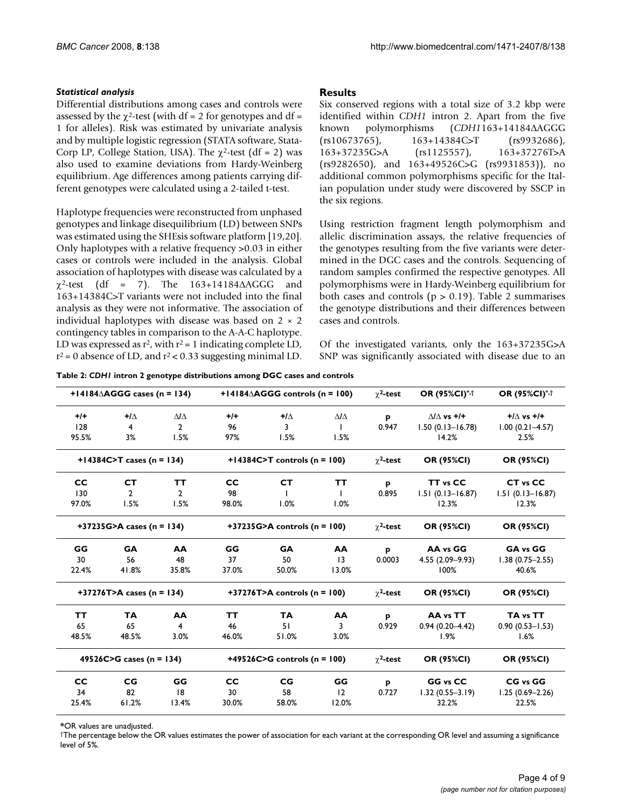#### *Statistical analysis*

Differential distributions among cases and controls were assessed by the  $\chi^2$ -test (with df = 2 for genotypes and df = 1 for alleles). Risk was estimated by univariate analysis and by multiple logistic regression (STATA software, Stata-Corp LP, College Station, USA). The  $\chi^2$ -test (df = 2) was also used to examine deviations from Hardy-Weinberg equilibrium. Age differences among patients carrying different genotypes were calculated using a 2-tailed t-test.

Haplotype frequencies were reconstructed from unphased genotypes and linkage disequilibrium (LD) between SNPs was estimated using the SHEsis software platform [19,20]. Only haplotypes with a relative frequency >0.03 in either cases or controls were included in the analysis. Global association of haplotypes with disease was calculated by a  $\chi^2$ -test (df = 7). The 163+14184 $\triangle$ AGGG and 163+14384C>T variants were not included into the final analysis as they were not informative. The association of individual haplotypes with disease was based on  $2 \times 2$ contingency tables in comparison to the A-A-C haplotype. LD was expressed as  $r^2$ , with  $r^2 = 1$  indicating complete LD,  $r^2$  = 0 absence of LD, and  $r^2$  < 0.33 suggesting minimal LD.

#### **Results**

Six conserved regions with a total size of 3.2 kbp were identified within *CDH1* intron 2. Apart from the five known polymorphisms (*CDH1*163+14184ΔAGGG (rs10673765), 163+14384C>T (rs9932686), 163+37235G>A (rs1125557), 163+37276T>A (rs9282650), and 163+49526C>G (rs9931853)), no additional common polymorphisms specific for the Italian population under study were discovered by SSCP in the six regions.

Using restriction fragment length polymorphism and allelic discrimination assays, the relative frequencies of the genotypes resulting from the five variants were determined in the DGC cases and the controls. Sequencing of random samples confirmed the respective genotypes. All polymorphisms were in Hardy-Weinberg equilibrium for both cases and controls ( $p > 0.19$ ). Table 2 summarises the genotype distributions and their differences between cases and controls.

Of the investigated variants, only the 163+37235G>A SNP was significantly associated with disease due to an

|           | $+14184\triangle AGGG$ cases (n = 134) |                   |           | $+14184\triangle AGGG$ controls (n = 100) |                   | $\gamma^2$ -test | <b>OR (95%CI)*,t</b>     | OR (95%CI)*,†         |
|-----------|----------------------------------------|-------------------|-----------|-------------------------------------------|-------------------|------------------|--------------------------|-----------------------|
| $+/-$     | $+1\wedge$                             | $\Delta I \Delta$ | $+/-$     | $+1\Delta$                                | $\Delta I \Delta$ | P                | $\Lambda/\Lambda$ vs +/+ | $+/\wedge$ vs $+/\pm$ |
| 128       | 4                                      | $\overline{2}$    | 96        | 3                                         | L                 | 0.947            | $1.50(0.13 - 16.78)$     | $1.00(0.21 - 4.57)$   |
| 95.5%     | 3%                                     | 1.5%              | 97%       | 1.5%                                      | 1.5%              |                  | 14.2%                    | 2.5%                  |
|           | +14384C>T cases (n = 134)              |                   |           | +14384C>T controls ( $n = 100$ )          |                   | $\gamma^2$ -test | <b>OR (95%CI)</b>        | <b>OR (95%CI)</b>     |
| <b>CC</b> | <b>CT</b>                              | <b>TT</b>         | <b>CC</b> | <b>CT</b>                                 | <b>TT</b>         | p                | TT <sub>vs</sub> CC      | CT vs CC              |
| 130       | $\mathbf{2}$                           | $\mathbf{2}$      | 98        |                                           |                   | 0.895            | $1.51(0.13 - 16.87)$     | $1.51(0.13 - 16.87)$  |
| 97.0%     | 1.5%                                   | 1.5%              | 98.0%     | 1.0%                                      | 1.0%              |                  | 12.3%                    | 12.3%                 |
|           | +37235G>A cases ( $n = 134$ )          |                   |           | +37235G>A controls ( $n = 100$ )          |                   | $\gamma^2$ -test | <b>OR (95%CI)</b>        | <b>OR (95%CI)</b>     |
| GG        | <b>GA</b>                              | AA                | GG        | <b>GA</b>                                 | AA                | p                | AA vs GG                 | GA vs GG              |
| 30        | 56                                     | 48                | 37        | 50                                        | $\overline{13}$   | 0.0003           | $4.55(2.09 - 9.93)$      | $1.38(0.75 - 2.55)$   |
| 22.4%     | 41.8%                                  | 35.8%             | 37.0%     | 50.0%                                     | 13.0%             |                  | 100%                     | 40.6%                 |
|           | +37276T>A cases ( $n = 134$ )          |                   |           | +37276T>A controls ( $n = 100$ )          |                   | $\gamma^2$ -test | <b>OR (95%CI)</b>        | <b>OR (95%CI)</b>     |
| ТT        | <b>TA</b>                              | AA                | ТT        | <b>TA</b>                                 | AA                | p                | AA vs TT                 | TA vs TT              |
| 65        | 65                                     | 4                 | 46        | 51                                        | 3                 | 0.929            | $0.94(0.20 - 4.42)$      | $0.90(0.53 - 1.53)$   |
| 48.5%     | 48.5%                                  | 3.0%              | 46.0%     | 51.0%                                     | 3.0%              |                  | 1.9%                     | 1.6%                  |
|           | 49526C>G cases ( $n = 134$ )           |                   |           | +49526C>G controls ( $n = 100$ )          |                   | $\gamma^2$ -test | <b>OR (95%CI)</b>        | <b>OR (95%CI)</b>     |
| cc        | CG                                     | GG                | <b>CC</b> | <b>CG</b>                                 | GG                | p                | GG vs CC                 | CG vs GG              |
| 34        | 82                                     | 8                 | 30        | 58                                        | 12                | 0.727            | $1.32(0.55 - 3.19)$      | $1.25(0.69 - 2.26)$   |
| 25.4%     | 61.2%                                  | 13.4%             | 30.0%     | 58.0%                                     | 12.0%             |                  | 32.2%                    | 22.5%                 |

**\***OR values are unadjusted.

†The percentage below the OR values estimates the power of association for each variant at the corresponding OR level and assuming a significance level of 5%.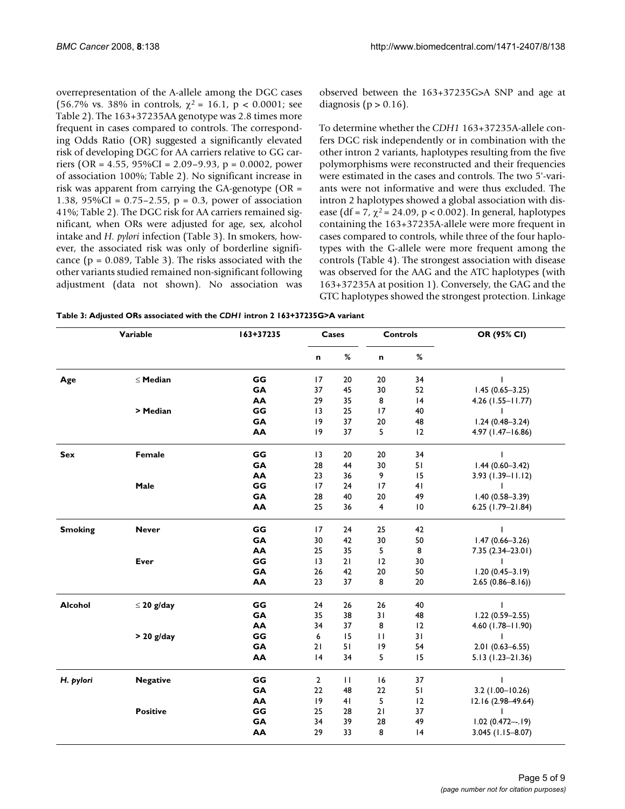overrepresentation of the A-allele among the DGC cases (56.7% vs. 38% in controls,  $\chi^2 = 16.1$ , p < 0.0001; see Table 2). The 163+37235AA genotype was 2.8 times more frequent in cases compared to controls. The corresponding Odds Ratio (OR) suggested a significantly elevated risk of developing DGC for AA carriers relative to GG carriers (OR = 4.55, 95%CI = 2.09–9.93, p = 0.0002, power of association 100%; Table 2). No significant increase in risk was apparent from carrying the GA-genotype (OR = 1.38, 95%CI = 0.75–2.55, p = 0.3, power of association 41%; Table 2). The DGC risk for AA carriers remained significant, when ORs were adjusted for age, sex, alcohol intake and *H. pylori* infection (Table 3). In smokers, however, the associated risk was only of borderline significance ( $p = 0.089$ , Table 3). The risks associated with the other variants studied remained non-significant following adjustment (data not shown). No association was

observed between the 163+37235G>A SNP and age at diagnosis ( $p > 0.16$ ).

To determine whether the *CDH1* 163+37235A-allele confers DGC risk independently or in combination with the other intron 2 variants, haplotypes resulting from the five polymorphisms were reconstructed and their frequencies were estimated in the cases and controls. The two 5'-variants were not informative and were thus excluded. The intron 2 haplotypes showed a global association with disease (df = 7,  $\chi^2$  = 24.09, p < 0.002). In general, haplotypes containing the 163+37235A-allele were more frequent in cases compared to controls, while three of the four haplotypes with the G-allele were more frequent among the controls (Table 4). The strongest association with disease was observed for the AAG and the ATC haplotypes (with 163+37235A at position 1). Conversely, the GAG and the GTC haplotypes showed the strongest protection. Linkage

| Variable       |                 | 163+37235 | Cases           |              | <b>Controls</b> |                 | OR (95% CI)          |
|----------------|-----------------|-----------|-----------------|--------------|-----------------|-----------------|----------------------|
|                |                 |           | n               | $\%$         | n               | %               |                      |
| Age            | $\leq$ Median   | GG        | 17              | 20           | 20              | 34              |                      |
|                |                 | <b>GA</b> | 37              | 45           | 30              | 52              | $1.45(0.65 - 3.25)$  |
|                |                 | AA        | 29              | 35           | 8               | 4               | 4.26 (1.55-11.77)    |
|                | > Median        | GG        | $\overline{13}$ | 25           | 17              | 40              |                      |
|                |                 | GA        | 9               | 37           | 20              | 48              | $1.24(0.48 - 3.24)$  |
|                |                 | AA        | 9               | 37           | 5               | 12              | 4.97 (1.47-16.86)    |
| <b>Sex</b>     | Female          | GG        | 13              | 20           | 20              | 34              |                      |
|                |                 | GA        | 28              | 44           | 30              | 51              | $1.44(0.60 - 3.42)$  |
|                |                 | AA        | 23              | 36           | 9               | 15              | $3.93(1.39 - 11.12)$ |
|                | Male            | GG        | 17              | 24           | 17              | 41              |                      |
|                |                 | GA        | 28              | 40           | 20              | 49              | $1.40(0.58 - 3.39)$  |
|                |                 | AA        | 25              | 36           | 4               | $\overline{10}$ | $6.25$ (1.79-21.84)  |
| <b>Smoking</b> | <b>Never</b>    | GG        | 17              | 24           | 25              | 42              |                      |
|                |                 | <b>GA</b> | 30              | 42           | 30              | 50              | $1.47(0.66 - 3.26)$  |
|                |                 | AA        | 25              | 35           | 5               | 8               | 7.35 (2.34-23.01)    |
|                | Ever            | GG        | 3               | 21           | 12              | 30              |                      |
|                |                 | GA        | 26              | 42           | 20              | 50              | $1.20(0.45 - 3.19)$  |
|                |                 | AA        | 23              | 37           | 8               | 20              | $2.65(0.86 - 8.16)$  |
| Alcohol        | $\leq$ 20 g/day | GG        | 24              | 26           | 26              | 40              |                      |
|                |                 | GA        | 35              | 38           | 31              | 48              | $1.22(0.59 - 2.55)$  |
|                |                 | AA        | 34              | 37           | 8               | 12              | 4.60 (1.78-11.90)    |
|                | $> 20$ g/day    | GG        | 6               | 15           | $\mathbf{H}$    | 31              |                      |
|                |                 | <b>GA</b> | 21              | 51           | 9               | 54              | $2.01(0.63 - 6.55)$  |
|                |                 | AA        | 4               | 34           | 5               | 15              | $5.13(1.23 - 21.36)$ |
| H. pylori      | <b>Negative</b> | GG        | $\overline{2}$  | $\mathbf{H}$ | 16              | 37              |                      |
|                |                 | GA        | $22\,$          | 48           | 22              | 51              | $3.2$ (1.00-10.26)   |
|                |                 | AA        | 9               | 41           | 5               | 12              | 12.16 (2.98-49.64)   |
|                | <b>Positive</b> | GG        | 25              | 28           | 21              | 37              |                      |
|                |                 | GA        | 34              | 39           | 28              | 49              | $1.02(0.472-.19)$    |
|                |                 | AA        | 29              | 33           | 8               | 4               | 3.045 (1.15-8.07)    |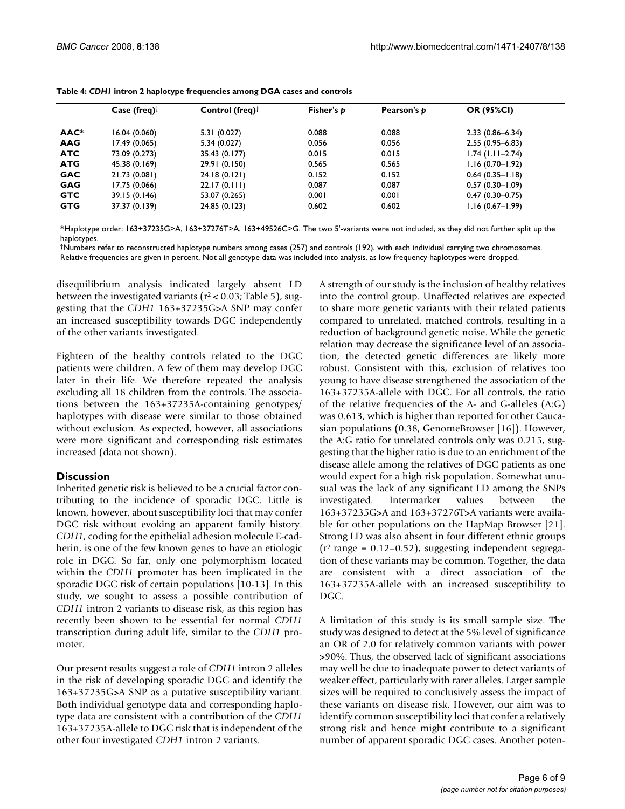|            | Case (freq) $\dagger$ | Control (freq) $\dagger$ | Fisher's $p$ | Pearson's p | <b>OR (95%CI)</b>   |
|------------|-----------------------|--------------------------|--------------|-------------|---------------------|
| AAC*       | 16.04(0.060)          | 5.31 (0.027)             | 0.088        | 0.088       | $2.33(0.86 - 6.34)$ |
| <b>AAG</b> | 17.49(0.065)          | 5.34(0.027)              | 0.056        | 0.056       | $2.55(0.95 - 6.83)$ |
| <b>ATC</b> | 73.09 (0.273)         | 35.43 (0.177)            | 0.015        | 0.015       | $1.74$ (1.11-2.74)  |
| <b>ATG</b> | 45.38 (0.169)         | 29.91 (0.150)            | 0.565        | 0.565       | $1.16(0.70 - 1.92)$ |
| <b>GAC</b> | 21.73 (0.081)         | 24.18(0.121)             | 0.152        | 0.152       | $0.64(0.35 - 1.18)$ |
| <b>GAG</b> | 17.75 (0.066)         | 22.17(0.111)             | 0.087        | 0.087       | $0.57(0.30 - 1.09)$ |
| <b>GTC</b> | 39.15 (0.146)         | 53.07 (0.265)            | 0.001        | 0.001       | $0.47(0.30 - 0.75)$ |
| <b>GTG</b> | 37.37 (0.139)         | 24.85 (0.123)            | 0.602        | 0.602       | $1.16(0.67 - 1.99)$ |

| Table 4: CDHI intron 2 haplotype frequencies among DGA cases and controls |  |  |  |  |
|---------------------------------------------------------------------------|--|--|--|--|
|---------------------------------------------------------------------------|--|--|--|--|

**\***Haplotype order: 163+37235G>A, 163+37276T>A, 163+49526C>G. The two 5'-variants were not included, as they did not further split up the haplotypes.

†Numbers refer to reconstructed haplotype numbers among cases (257) and controls (192), with each individual carrying two chromosomes. Relative frequencies are given in percent. Not all genotype data was included into analysis, as low frequency haplotypes were dropped.

disequilibrium analysis indicated largely absent LD between the investigated variants ( $r^2$  < 0.03; Table 5), suggesting that the *CDH1* 163+37235G>A SNP may confer an increased susceptibility towards DGC independently of the other variants investigated.

Eighteen of the healthy controls related to the DGC patients were children. A few of them may develop DGC later in their life. We therefore repeated the analysis excluding all 18 children from the controls. The associations between the 163+37235A-containing genotypes/ haplotypes with disease were similar to those obtained without exclusion. As expected, however, all associations were more significant and corresponding risk estimates increased (data not shown).

#### **Discussion**

Inherited genetic risk is believed to be a crucial factor contributing to the incidence of sporadic DGC. Little is known, however, about susceptibility loci that may confer DGC risk without evoking an apparent family history. *CDH1*, coding for the epithelial adhesion molecule E-cadherin, is one of the few known genes to have an etiologic role in DGC. So far, only one polymorphism located within the *CDH1* promoter has been implicated in the sporadic DGC risk of certain populations [10-13]. In this study, we sought to assess a possible contribution of *CDH1* intron 2 variants to disease risk, as this region has recently been shown to be essential for normal *CDH1* transcription during adult life, similar to the *CDH1* promoter.

Our present results suggest a role of *CDH1* intron 2 alleles in the risk of developing sporadic DGC and identify the 163+37235G>A SNP as a putative susceptibility variant. Both individual genotype data and corresponding haplotype data are consistent with a contribution of the *CDH1* 163+37235A-allele to DGC risk that is independent of the other four investigated *CDH1* intron 2 variants.

A strength of our study is the inclusion of healthy relatives into the control group. Unaffected relatives are expected to share more genetic variants with their related patients compared to unrelated, matched controls, resulting in a reduction of background genetic noise. While the genetic relation may decrease the significance level of an association, the detected genetic differences are likely more robust. Consistent with this, exclusion of relatives too young to have disease strengthened the association of the 163+37235A-allele with DGC. For all controls, the ratio of the relative frequencies of the A- and G-alleles (A:G) was 0.613, which is higher than reported for other Caucasian populations (0.38, GenomeBrowser [16]). However, the A:G ratio for unrelated controls only was 0.215, suggesting that the higher ratio is due to an enrichment of the disease allele among the relatives of DGC patients as one would expect for a high risk population. Somewhat unusual was the lack of any significant LD among the SNPs investigated. Intermarker values between the 163+37235G>A and 163+37276T>A variants were available for other populations on the HapMap Browser [21]. Strong LD was also absent in four different ethnic groups  $(r^2 \text{ range} = 0.12 - 0.52)$ , suggesting independent segregation of these variants may be common. Together, the data are consistent with a direct association of the 163+37235A-allele with an increased susceptibility to DGC.

A limitation of this study is its small sample size. The study was designed to detect at the 5% level of significance an OR of 2.0 for relatively common variants with power >90%. Thus, the observed lack of significant associations may well be due to inadequate power to detect variants of weaker effect, particularly with rarer alleles. Larger sample sizes will be required to conclusively assess the impact of these variants on disease risk. However, our aim was to identify common susceptibility loci that confer a relatively strong risk and hence might contribute to a significant number of apparent sporadic DGC cases. Another poten-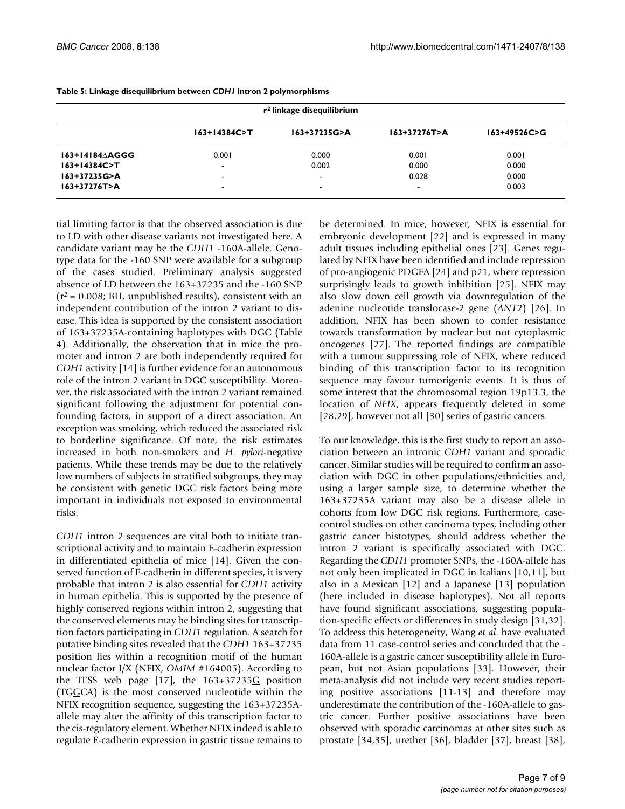| r <sup>2</sup> linkage disequilibrium |                          |                          |              |                  |  |  |  |
|---------------------------------------|--------------------------|--------------------------|--------------|------------------|--|--|--|
|                                       | $163+14384C > T$         | 163+37235G>A             | 163+37276T>A | $163+49526C > G$ |  |  |  |
| 163+14184 AGGG                        | 0.001                    | 0.000                    | 0.001        | 0.001            |  |  |  |
| $163+14384C > T$                      | $\blacksquare$           | 0.002                    | 0.000        | 0.000            |  |  |  |
| 163+37235G>A                          | $\overline{\phantom{0}}$ | $\overline{\phantom{a}}$ | 0.028        | 0.000            |  |  |  |
| 163+37276T>A                          | $\blacksquare$           | $\overline{\phantom{a}}$ | -            | 0.003            |  |  |  |

**Table 5: Linkage disequilibrium between** *CDH1* **intron 2 polymorphisms**

tial limiting factor is that the observed association is due to LD with other disease variants not investigated here. A candidate variant may be the *CDH1* -160A-allele. Genotype data for the -160 SNP were available for a subgroup of the cases studied. Preliminary analysis suggested absence of LD between the 163+37235 and the -160 SNP  $(r^2 = 0.008; BH,$  unpublished results), consistent with an independent contribution of the intron 2 variant to disease. This idea is supported by the consistent association of 163+37235A-containing haplotypes with DGC (Table 4). Additionally, the observation that in mice the promoter and intron 2 are both independently required for *CDH1* activity [14] is further evidence for an autonomous role of the intron 2 variant in DGC susceptibility. Moreover, the risk associated with the intron 2 variant remained significant following the adjustment for potential confounding factors, in support of a direct association. An exception was smoking, which reduced the associated risk to borderline significance. Of note, the risk estimates increased in both non-smokers and *H. pylori*-negative patients. While these trends may be due to the relatively low numbers of subjects in stratified subgroups, they may be consistent with genetic DGC risk factors being more important in individuals not exposed to environmental risks.

*CDH1* intron 2 sequences are vital both to initiate transcriptional activity and to maintain E-cadherin expression in differentiated epithelia of mice [14]. Given the conserved function of E-cadherin in different species, it is very probable that intron 2 is also essential for *CDH1* activity in human epithelia. This is supported by the presence of highly conserved regions within intron 2, suggesting that the conserved elements may be binding sites for transcription factors participating in *CDH1* regulation. A search for putative binding sites revealed that the *CDH1* 163+37235 position lies within a recognition motif of the human nuclear factor I/X (NFIX, *OMIM* #164005). According to the TESS web page [17], the  $163+37235G$  position (TGGCA) is the most conserved nucleotide within the NFIX recognition sequence, suggesting the 163+37235Aallele may alter the affinity of this transcription factor to the cis-regulatory element. Whether NFIX indeed is able to regulate E-cadherin expression in gastric tissue remains to

be determined. In mice, however, NFIX is essential for embryonic development [22] and is expressed in many adult tissues including epithelial ones [23]. Genes regulated by NFIX have been identified and include repression of pro-angiogenic PDGFA [24] and p21, where repression surprisingly leads to growth inhibition [25]. NFIX may also slow down cell growth via downregulation of the adenine nucleotide translocase-2 gene (*ANT2*) [26]. In addition, NFIX has been shown to confer resistance towards transformation by nuclear but not cytoplasmic oncogenes [27]. The reported findings are compatible with a tumour suppressing role of NFIX, where reduced binding of this transcription factor to its recognition sequence may favour tumorigenic events. It is thus of some interest that the chromosomal region 19p13.3, the location of *NFIX*, appears frequently deleted in some [28,29], however not all [30] series of gastric cancers.

To our knowledge, this is the first study to report an association between an intronic *CDH1* variant and sporadic cancer. Similar studies will be required to confirm an association with DGC in other populations/ethnicities and, using a larger sample size, to determine whether the 163+37235A variant may also be a disease allele in cohorts from low DGC risk regions. Furthermore, casecontrol studies on other carcinoma types, including other gastric cancer histotypes, should address whether the intron 2 variant is specifically associated with DGC. Regarding the *CDH1* promoter SNPs, the -160A-allele has not only been implicated in DGC in Italians [10,11], but also in a Mexican [12] and a Japanese [13] population (here included in disease haplotypes). Not all reports have found significant associations, suggesting population-specific effects or differences in study design [31,32]. To address this heterogeneity, Wang *et al*. have evaluated data from 11 case-control series and concluded that the - 160A-allele is a gastric cancer susceptibility allele in European, but not Asian populations [33]. However, their meta-analysis did not include very recent studies reporting positive associations [11-13] and therefore may underestimate the contribution of the -160A-allele to gastric cancer. Further positive associations have been observed with sporadic carcinomas at other sites such as prostate [34,35], urether [36], bladder [37], breast [38],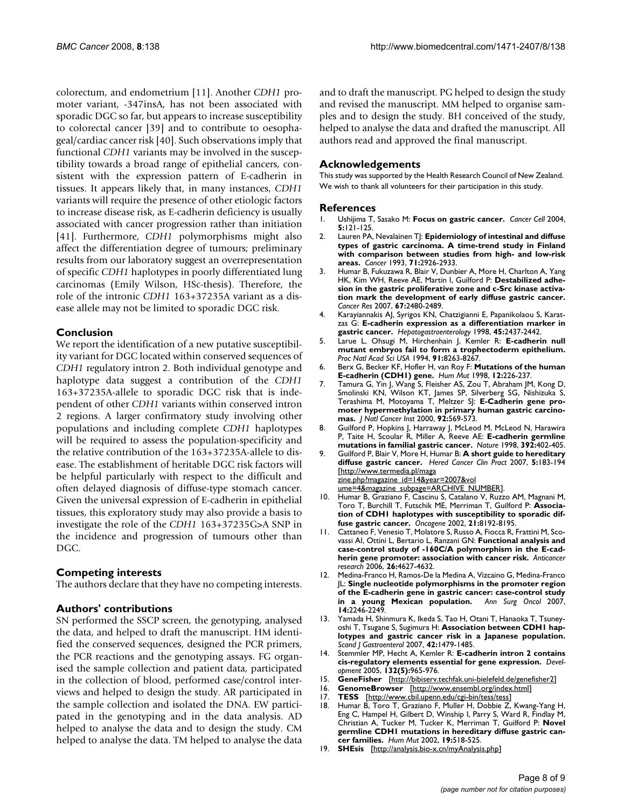colorectum, and endometrium [11]. Another *CDH1* promoter variant, -347insA, has not been associated with sporadic DGC so far, but appears to increase susceptibility to colorectal cancer [39] and to contribute to oesophageal/cardiac cancer risk [40]. Such observations imply that functional *CDH1* variants may be involved in the susceptibility towards a broad range of epithelial cancers, consistent with the expression pattern of E-cadherin in tissues. It appears likely that, in many instances, *CDH1* variants will require the presence of other etiologic factors to increase disease risk, as E-cadherin deficiency is usually associated with cancer progression rather than initiation [41]. Furthermore, *CDH1* polymorphisms might also affect the differentiation degree of tumours; preliminary results from our laboratory suggest an overrepresentation of specific *CDH1* haplotypes in poorly differentiated lung carcinomas (Emily Wilson, HSc-thesis). Therefore, the role of the intronic *CDH1* 163+37235A variant as a disease allele may not be limited to sporadic DGC risk.

#### **Conclusion**

We report the identification of a new putative susceptibility variant for DGC located within conserved sequences of *CDH1* regulatory intron 2. Both individual genotype and haplotype data suggest a contribution of the *CDH1* 163+37235A-allele to sporadic DGC risk that is independent of other *CDH1* variants within conserved intron 2 regions. A larger confirmatory study involving other populations and including complete *CDH1* haplotypes will be required to assess the population-specificity and the relative contribution of the 163+37235A-allele to disease. The establishment of heritable DGC risk factors will be helpful particularly with respect to the difficult and often delayed diagnosis of diffuse-type stomach cancer. Given the universal expression of E-cadherin in epithelial tissues, this exploratory study may also provide a basis to investigate the role of the *CDH1* 163+37235G>A SNP in the incidence and progression of tumours other than DGC.

#### **Competing interests**

The authors declare that they have no competing interests.

#### **Authors' contributions**

SN performed the SSCP screen, the genotyping, analysed the data, and helped to draft the manuscript. HM identified the conserved sequences, designed the PCR primers, the PCR reactions and the genotyping assays. FG organised the sample collection and patient data, participated in the collection of blood, performed case/control interviews and helped to design the study. AR participated in the sample collection and isolated the DNA. EW participated in the genotyping and in the data analysis. AD helped to analyse the data and to design the study. CM helped to analyse the data. TM helped to analyse the data and to draft the manuscript. PG helped to design the study and revised the manuscript. MM helped to organise samples and to design the study. BH conceived of the study, helped to analyse the data and drafted the manuscript. All authors read and approved the final manuscript.

#### **Acknowledgements**

This study was supported by the Health Research Council of New Zealand. We wish to thank all volunteers for their participation in this study.

#### **References**

- 1. Ushijima T, Sasako M: **[Focus on gastric cancer.](http://www.ncbi.nlm.nih.gov/entrez/query.fcgi?cmd=Retrieve&db=PubMed&dopt=Abstract&list_uids=14998488)** *Cancer Cell* 2004, **5:**121-125.
- 2. Lauren PA, Nevalainen T|: **[Epidemiology of intestinal and diffuse](http://www.ncbi.nlm.nih.gov/entrez/query.fcgi?cmd=Retrieve&db=PubMed&dopt=Abstract&list_uids=8490820) [types of gastric carcinoma. A time-trend study in Finland](http://www.ncbi.nlm.nih.gov/entrez/query.fcgi?cmd=Retrieve&db=PubMed&dopt=Abstract&list_uids=8490820) with comparison between studies from high- and low-risk [areas.](http://www.ncbi.nlm.nih.gov/entrez/query.fcgi?cmd=Retrieve&db=PubMed&dopt=Abstract&list_uids=8490820)** *Cancer* 1993, **71:**2926-2933.
- 3. Humar B, Fukuzawa R, Blair V, Dunbier A, More H, Charlton A, Yang HK, Kim WH, Reeve AE, Martin I, Guilford P: **[Destabilized adhe](http://www.ncbi.nlm.nih.gov/entrez/query.fcgi?cmd=Retrieve&db=PubMed&dopt=Abstract&list_uids=17363565)[sion in the gastric proliferative zone and c-Src kinase activa](http://www.ncbi.nlm.nih.gov/entrez/query.fcgi?cmd=Retrieve&db=PubMed&dopt=Abstract&list_uids=17363565)tion mark the development of early diffuse gastric cancer.** *Cancer Res* 2007, **67:**2480-2489.
- 4. Karayiannakis AJ, Syrigos KN, Chatzigianni E, Papanikolaou S, Karatzas G: **[E-cadherin expression as a differentiation marker in](http://www.ncbi.nlm.nih.gov/entrez/query.fcgi?cmd=Retrieve&db=PubMed&dopt=Abstract&list_uids=9951940) [gastric cancer.](http://www.ncbi.nlm.nih.gov/entrez/query.fcgi?cmd=Retrieve&db=PubMed&dopt=Abstract&list_uids=9951940)** *Hepatogastroenterology* 1998, **45:**2437-2442.
- 5. Larue L, Ohsugi M, Hirchenhain J, Kemler R: **[E-cadherin null](http://www.ncbi.nlm.nih.gov/entrez/query.fcgi?cmd=Retrieve&db=PubMed&dopt=Abstract&list_uids=8058792) [mutant embryos fail to form a trophectoderm epithelium.](http://www.ncbi.nlm.nih.gov/entrez/query.fcgi?cmd=Retrieve&db=PubMed&dopt=Abstract&list_uids=8058792)** *Proc Natl Acad Sci USA* 1994, **91:**8263-8267.
- 6. Berx G, Becker KF, Hofler H, van Roy F: **[Mutations of the human](http://www.ncbi.nlm.nih.gov/entrez/query.fcgi?cmd=Retrieve&db=PubMed&dopt=Abstract&list_uids=9744472) [E-cadherin \(CDH1\) gene.](http://www.ncbi.nlm.nih.gov/entrez/query.fcgi?cmd=Retrieve&db=PubMed&dopt=Abstract&list_uids=9744472)** *Hum Mut* 1998, **12:**226-237.
- 7. Tamura G, Yin J, Wang S, Fleisher AS, Zou T, Abraham JM, Kong D, Smolinski KN, Wilson KT, James SP, Silverberg SG, Nishizuka S, Terashima M, Motoyama T, Meltzer SJ: **[E-Cadherin gene pro](http://www.ncbi.nlm.nih.gov/entrez/query.fcgi?cmd=Retrieve&db=PubMed&dopt=Abstract&list_uids=10749913)[moter hypermethylation in primary human gastric carcino](http://www.ncbi.nlm.nih.gov/entrez/query.fcgi?cmd=Retrieve&db=PubMed&dopt=Abstract&list_uids=10749913)[mas.](http://www.ncbi.nlm.nih.gov/entrez/query.fcgi?cmd=Retrieve&db=PubMed&dopt=Abstract&list_uids=10749913)** *J Natl Cancer Inst* 2000, **92:**569-573.
- 8. Guilford P, Hopkins J, Harraway J, McLeod M, McLeod N, Harawira P, Taite H, Scoular R, Miller A, Reeve AE: **[E-cadherin germline](http://www.ncbi.nlm.nih.gov/entrez/query.fcgi?cmd=Retrieve&db=PubMed&dopt=Abstract&list_uids=9537325) [mutations in familial gastric cancer.](http://www.ncbi.nlm.nih.gov/entrez/query.fcgi?cmd=Retrieve&db=PubMed&dopt=Abstract&list_uids=9537325)** *Nature* 1998, **392:**402-405.
- 9. Guilford P, Blair V, More H, Humar B: **A short guide to hereditary diffuse gastric cancer.** *Hered Cancer Clin Pract* 2007, **5:**183-194 [[http://www.termedia.pl/maga](http://www.termedia.pl/magazine.php?magazine_id=14&year=2007&volume=4&magazine_subpage=ARCHIVE_NUMBER) [zine.php?magazine\\_id=14&year=2007&vol](http://www.termedia.pl/magazine.php?magazine_id=14&year=2007&volume=4&magazine_subpage=ARCHIVE_NUMBER)

[ume=4&magazine\\_subpage=ARCHIVE\\_NUMBER](http://www.termedia.pl/magazine.php?magazine_id=14&year=2007&volume=4&magazine_subpage=ARCHIVE_NUMBER)].

- 10. Humar B, Graziano F, Cascinu S, Catalano V, Ruzzo AM, Magnani M, Toro T, Burchill T, Futschik ME, Merriman T, Guilford P: **[Associa](http://www.ncbi.nlm.nih.gov/entrez/query.fcgi?cmd=Retrieve&db=PubMed&dopt=Abstract&list_uids=12444556)[tion of CDH1 haplotypes with susceptibility to sporadic dif](http://www.ncbi.nlm.nih.gov/entrez/query.fcgi?cmd=Retrieve&db=PubMed&dopt=Abstract&list_uids=12444556)[fuse gastric cancer.](http://www.ncbi.nlm.nih.gov/entrez/query.fcgi?cmd=Retrieve&db=PubMed&dopt=Abstract&list_uids=12444556)** *Oncogene* 2002, **21:**8192-8195.
- 11. Cattaneo F, Venesio T, Molatore S, Russo A, Fiocca R, Frattini M, Scovassi AI, Ottini L, Bertario L, Ranzani GN: **[Functional analysis and](http://www.ncbi.nlm.nih.gov/entrez/query.fcgi?cmd=Retrieve&db=PubMed&dopt=Abstract&list_uids=17201188) [case-control study of -160C/A polymorphism in the E-cad](http://www.ncbi.nlm.nih.gov/entrez/query.fcgi?cmd=Retrieve&db=PubMed&dopt=Abstract&list_uids=17201188)[herin gene promoter: association with cancer risk.](http://www.ncbi.nlm.nih.gov/entrez/query.fcgi?cmd=Retrieve&db=PubMed&dopt=Abstract&list_uids=17201188)** *Anticancer research* 2006, **26:**4627-4632.
- 12. Medina-Franco H, Ramos-De la Medina A, Vizcaino G, Medina-Franco JL: **[Single nucleotide polymorphisms in the promoter region](http://www.ncbi.nlm.nih.gov/entrez/query.fcgi?cmd=Retrieve&db=PubMed&dopt=Abstract&list_uids=17549573) [of the E-cadherin gene in gastric cancer: case-control study](http://www.ncbi.nlm.nih.gov/entrez/query.fcgi?cmd=Retrieve&db=PubMed&dopt=Abstract&list_uids=17549573) [in a young Mexican population.](http://www.ncbi.nlm.nih.gov/entrez/query.fcgi?cmd=Retrieve&db=PubMed&dopt=Abstract&list_uids=17549573)** *Ann Surg Oncol* 2007, **14:**2246-2249.
- 13. Yamada H, Shinmura K, Ikeda S, Tao H, Otani T, Hanaoka T, Tsuneyoshi T, Tsugane S, Sugimura H: **[Association between CDH1 hap](http://www.ncbi.nlm.nih.gov/entrez/query.fcgi?cmd=Retrieve&db=PubMed&dopt=Abstract&list_uids=17852867)[lotypes and gastric cancer risk in a Japanese population.](http://www.ncbi.nlm.nih.gov/entrez/query.fcgi?cmd=Retrieve&db=PubMed&dopt=Abstract&list_uids=17852867)** *Scand J Gastroenterol* 2007, **42:**1479-1485.
- 14. Stemmler MP, Hecht A, Kemler R: **[E-cadherin intron 2 contains](http://www.ncbi.nlm.nih.gov/entrez/query.fcgi?cmd=Retrieve&db=PubMed&dopt=Abstract&list_uids=15673570) [cis-regulatory elements essential for gene expression.](http://www.ncbi.nlm.nih.gov/entrez/query.fcgi?cmd=Retrieve&db=PubMed&dopt=Abstract&list_uids=15673570)** *Development* 2005, **132(5):**965-976.
- 15. **GeneFisher** [\[http://bibiserv.techfak.uni-bielefeld.de/genefisher2\]](http://bibiserv.techfak.uni-bielefeld.de/genefisher2)
- 16. **GenomeBrowser** [\[http://www.ensembl.org/index.html\]](http://www.ensembl.org/index.html)
- 17. **TESS** [[http://www.cbil.upenn.edu/cgi-bin/tess/tess\]](http://www.cbil.upenn.edu/cgi-bin/tess/tess)<br>18. Humar B. Toro T. Graziano E. Muller H. Dobbie Z.
- Humar B, Toro T, Graziano F, Muller H, Dobbie Z, Kwang-Yang H, Eng C, Hampel H, Gilbert D, Winship I, Parry S, Ward R, Findlay M, Christian A, Tucker M, Tucker K, Merriman T, Guilford P: **[Novel](http://www.ncbi.nlm.nih.gov/entrez/query.fcgi?cmd=Retrieve&db=PubMed&dopt=Abstract&list_uids=11968084) [germline CDH1 mutations in hereditary diffuse gastric can](http://www.ncbi.nlm.nih.gov/entrez/query.fcgi?cmd=Retrieve&db=PubMed&dopt=Abstract&list_uids=11968084)[cer families.](http://www.ncbi.nlm.nih.gov/entrez/query.fcgi?cmd=Retrieve&db=PubMed&dopt=Abstract&list_uids=11968084)** *Hum Mut* 2002, **19:**518-525.
- 19. **SHEsis** [[http://analysis.bio-x.cn/myAnalysis.php\]](http://analysis.bio-x.cn/myAnalysis.php)